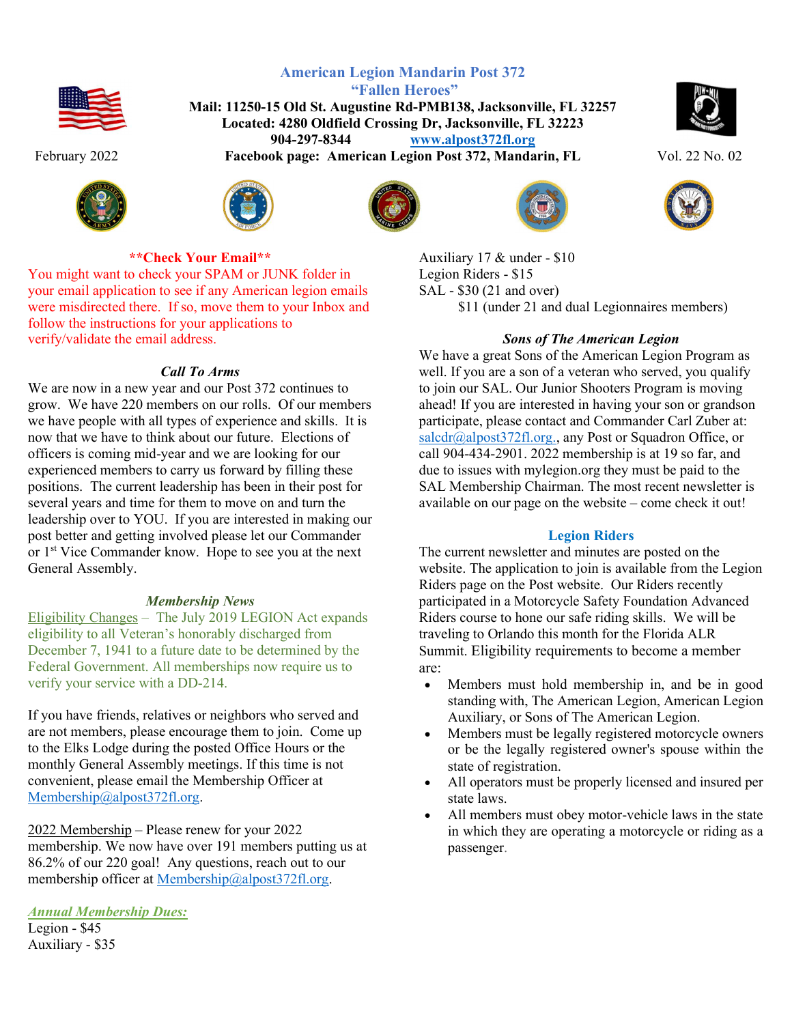





## \*\*Check Your Email\*\*

You might want to check your SPAM or JUNK folder in your email application to see if any American legion emails were misdirected there. If so, move them to your Inbox and follow the instructions for your applications to verify/validate the email address.

## Call To Arms

We are now in a new year and our Post 372 continues to grow. We have 220 members on our rolls. Of our members we have people with all types of experience and skills. It is now that we have to think about our future. Elections of officers is coming mid-year and we are looking for our experienced members to carry us forward by filling these positions. The current leadership has been in their post for several years and time for them to move on and turn the leadership over to YOU. If you are interested in making our post better and getting involved please let our Commander or 1st Vice Commander know. Hope to see you at the next General Assembly.

## Membership News

Eligibility Changes – The July 2019 LEGION Act expands eligibility to all Veteran's honorably discharged from December 7, 1941 to a future date to be determined by the Federal Government. All memberships now require us to verify your service with a DD-214.

If you have friends, relatives or neighbors who served and are not members, please encourage them to join. Come up to the Elks Lodge during the posted Office Hours or the monthly General Assembly meetings. If this time is not convenient, please email the Membership Officer at Membership@alpost372fl.org.

2022 Membership – Please renew for your 2022 membership. We now have over 191 members putting us at 86.2% of our 220 goal! Any questions, reach out to our membership officer at Membership@alpost372fl.org.

Annual Membership Dues:

Legion - \$45 Auxiliary - \$35

 "Fallen Heroes" Mail: 11250-15 Old St. Augustine Rd-PMB138, Jacksonville, FL 32257 Located: 4280 Oldfield Crossing Dr, Jacksonville, FL 32223 904-297-8344 www.alpost372fl.org February 2022 Facebook page: American Legion Post 372, Mandarin, FL Vol. 22 No. 02









Auxiliary 17 & under - \$10 Legion Riders - \$15 SAL - \$30 (21 and over) \$11 (under 21 and dual Legionnaires members)

## Sons of The American Legion

We have a great Sons of the American Legion Program as well. If you are a son of a veteran who served, you qualify to join our SAL. Our Junior Shooters Program is moving ahead! If you are interested in having your son or grandson participate, please contact and Commander Carl Zuber at: salcdr@alpost372fl.org., any Post or Squadron Office, or call 904-434-2901. 2022 membership is at 19 so far, and due to issues with mylegion.org they must be paid to the SAL Membership Chairman. The most recent newsletter is available on our page on the website – come check it out!

## Legion Riders

The current newsletter and minutes are posted on the website. The application to join is available from the Legion Riders page on the Post website. Our Riders recently participated in a Motorcycle Safety Foundation Advanced Riders course to hone our safe riding skills. We will be traveling to Orlando this month for the Florida ALR Summit. Eligibility requirements to become a member are:

- Members must hold membership in, and be in good standing with, The American Legion, American Legion Auxiliary, or Sons of The American Legion.
- Members must be legally registered motorcycle owners or be the legally registered owner's spouse within the state of registration.
- All operators must be properly licensed and insured per state laws.
- All members must obey motor-vehicle laws in the state in which they are operating a motorcycle or riding as a passenger.

American Legion Mandarin Post 372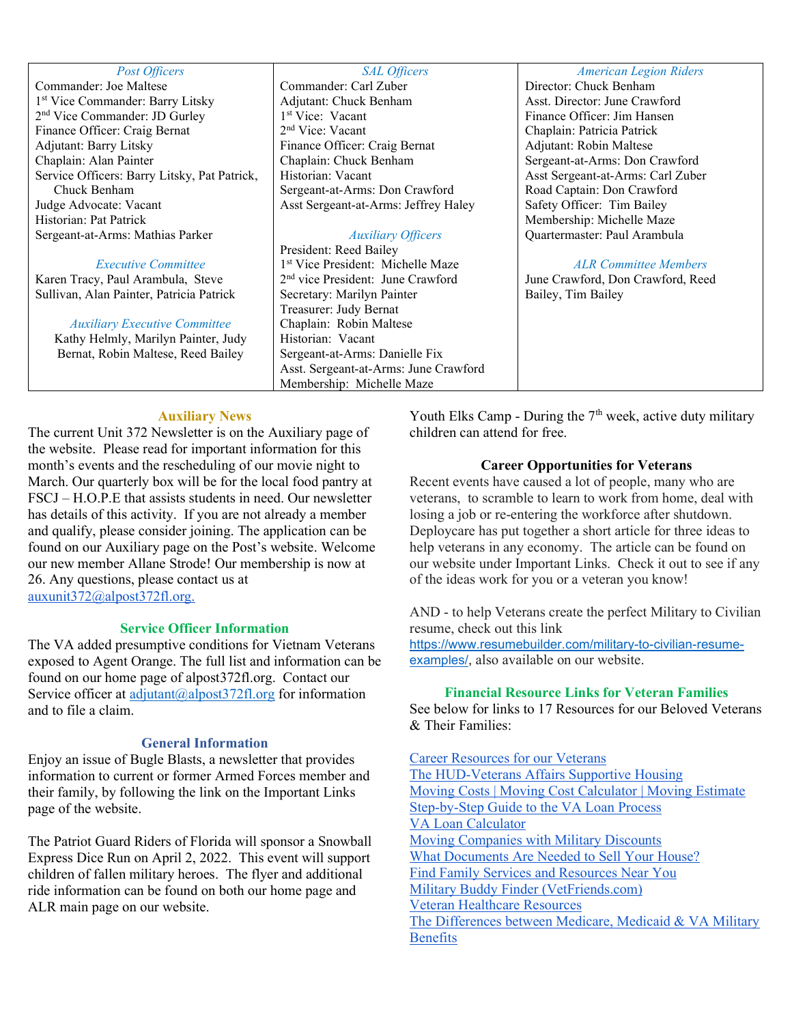#### Post Officers

Commander: Joe Maltese 1 st Vice Commander: Barry Litsky 2 nd Vice Commander: JD Gurley Finance Officer: Craig Bernat Adjutant: Barry Litsky Chaplain: Alan Painter Service Officers: Barry Litsky, Pat Patrick, Chuck Benham Judge Advocate: Vacant Historian: Pat Patrick Sergeant-at-Arms: Mathias Parker

#### Executive Committee

Karen Tracy, Paul Arambula, Steve Sullivan, Alan Painter, Patricia Patrick

#### Auxiliary Executive Committee

Kathy Helmly, Marilyn Painter, Judy Bernat, Robin Maltese, Reed Bailey

#### SAL Officers

Commander: Carl Zuber Adjutant: Chuck Benham 1 st Vice: Vacant 2 nd Vice: Vacant Finance Officer: Craig Bernat Chaplain: Chuck Benham Historian: Vacant Sergeant-at-Arms: Don Crawford Asst Sergeant-at-Arms: Jeffrey Haley

## Auxiliary Officers

President: Reed Bailey 1 st Vice President: Michelle Maze 2 nd vice President: June Crawford Secretary: Marilyn Painter Treasurer: Judy Bernat Chaplain: Robin Maltese Historian: Vacant Sergeant-at-Arms: Danielle Fix Asst. Sergeant-at-Arms: June Crawford Membership: Michelle Maze

#### American Legion Riders

Director: Chuck Benham Asst. Director: June Crawford Finance Officer: Jim Hansen Chaplain: Patricia Patrick Adjutant: Robin Maltese Sergeant-at-Arms: Don Crawford Asst Sergeant-at-Arms: Carl Zuber Road Captain: Don Crawford Safety Officer: Tim Bailey Membership: Michelle Maze Quartermaster: Paul Arambula

#### ALR Committee Members

June Crawford, Don Crawford, Reed Bailey, Tim Bailey

### Auxiliary News

The current Unit 372 Newsletter is on the Auxiliary page of the website. Please read for important information for this month's events and the rescheduling of our movie night to March. Our quarterly box will be for the local food pantry at FSCJ – H.O.P.E that assists students in need. Our newsletter has details of this activity. If you are not already a member and qualify, please consider joining. The application can be found on our Auxiliary page on the Post's website. Welcome our new member Allane Strode! Our membership is now at 26. Any questions, please contact us at auxunit372@alpost372fl.org.

### Service Officer Information

The VA added presumptive conditions for Vietnam Veterans exposed to Agent Orange. The full list and information can be found on our home page of alpost372fl.org. Contact our Service officer at adjutant@alpost372fl.org for information and to file a claim.

### General Information

Enjoy an issue of Bugle Blasts, a newsletter that provides information to current or former Armed Forces member and their family, by following the link on the Important Links page of the website.

The Patriot Guard Riders of Florida will sponsor a Snowball Express Dice Run on April 2, 2022. This event will support children of fallen military heroes. The flyer and additional ride information can be found on both our home page and ALR main page on our website.

Youth Elks Camp - During the  $7<sup>th</sup>$  week, active duty military children can attend for free.

### Career Opportunities for Veterans

Recent events have caused a lot of people, many who are veterans, to scramble to learn to work from home, deal with losing a job or re-entering the workforce after shutdown. Deploycare has put together a short article for three ideas to help veterans in any economy. The article can be found on our website under Important Links. Check it out to see if any of the ideas work for you or a veteran you know!

AND - to help Veterans create the perfect Military to Civilian resume, check out this link https://www.resumebuilder.com/military-to-civilian-resumeexamples/, also available on our website.

### Financial Resource Links for Veteran Families

See below for links to 17 Resources for our Beloved Veterans & Their Families:

Career Resources for our Veterans The HUD-Veterans Affairs Supportive Housing Moving Costs | Moving Cost Calculator | Moving Estimate Step-by-Step Guide to the VA Loan Process VA Loan Calculator Moving Companies with Military Discounts What Documents Are Needed to Sell Your House? Find Family Services and Resources Near You Military Buddy Finder (VetFriends.com) Veteran Healthcare Resources The Differences between Medicare, Medicaid & VA Military Benefits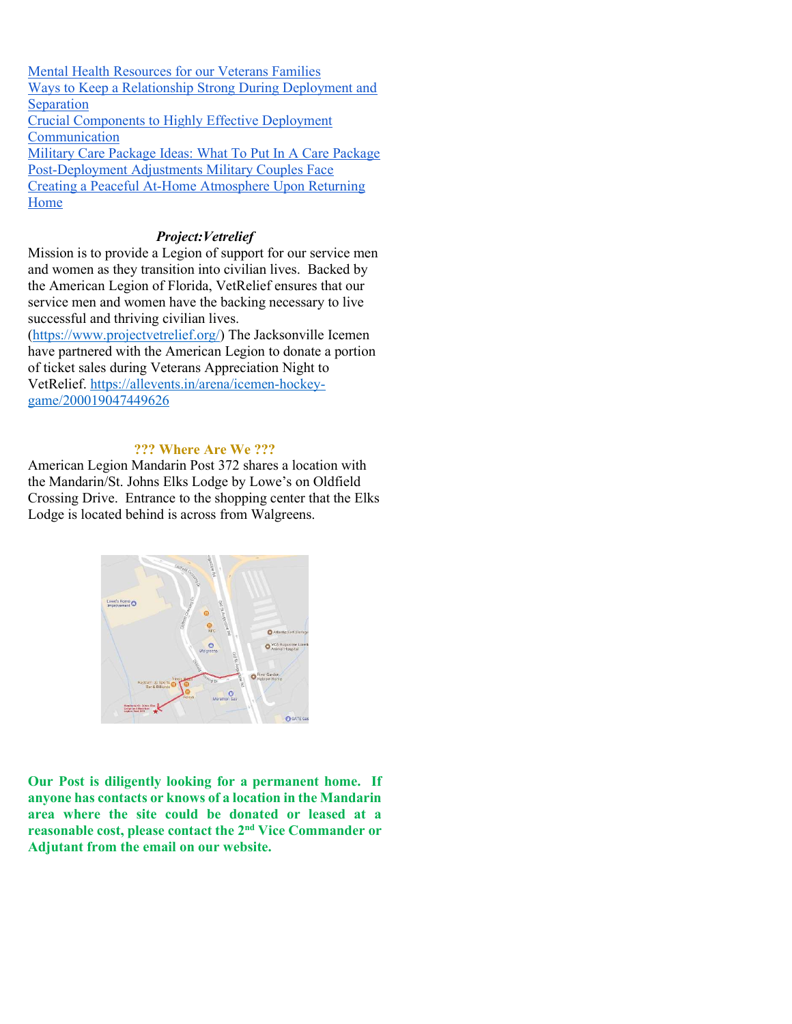Mental Health Resources for our Veterans Families Ways to Keep a Relationship Strong During Deployment and Separation Crucial Components to Highly Effective Deployment **Communication** Military Care Package Ideas: What To Put In A Care Package Post-Deployment Adjustments Military Couples Face Creating a Peaceful At-Home Atmosphere Upon Returning Home

## Project:Vetrelief

Mission is to provide a Legion of support for our service men and women as they transition into civilian lives. Backed by the American Legion of Florida, VetRelief ensures that our service men and women have the backing necessary to live successful and thriving civilian lives.

(https://www.projectvetrelief.org/) The Jacksonville Icemen have partnered with the American Legion to donate a portion of ticket sales during Veterans Appreciation Night to VetRelief. https://allevents.in/arena/icemen-hockeygame/200019047449626

### ??? Where Are We ???

American Legion Mandarin Post 372 shares a location with the Mandarin/St. Johns Elks Lodge by Lowe's on Oldfield Crossing Drive. Entrance to the shopping center that the Elks Lodge is located behind is across from Walgreens.



Our Post is diligently looking for a permanent home. If anyone has contacts or knows of a location in the Mandarin area where the site could be donated or leased at a reasonable cost, please contact the 2nd Vice Commander or Adjutant from the email on our website.